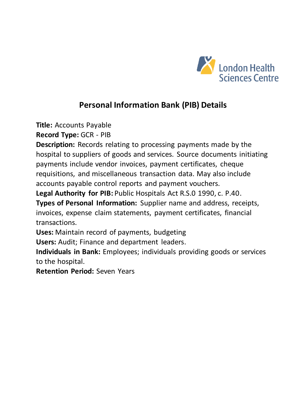

**Title:** Accounts Payable

**Record Type:** GCR - PIB

**Description:** Records relating to processing payments made by the hospital to suppliers of goods and services. Source documents initiating payments include vendor invoices, payment certificates, cheque requisitions, and miscellaneous transaction data. May also include accounts payable control reports and payment vouchers.

**Legal Authority for PIB:** Public Hospitals Act R.S.0 1990, c. P.40.

**Types of Personal Information:** Supplier name and address, receipts, invoices, expense claim statements, payment certificates, financial transactions.

**Uses:** Maintain record of payments, budgeting

**Users:** Audit; Finance and department leaders.

**Individuals in Bank:** Employees; individuals providing goods or services to the hospital.

**Retention Period:** Seven Years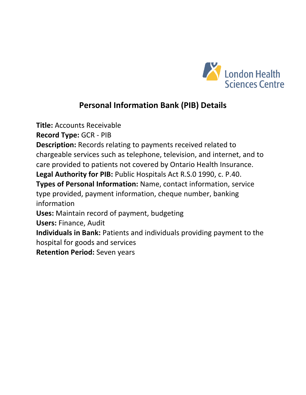

**Title:** Accounts Receivable

**Record Type:** GCR - PIB

**Description:** Records relating to payments received related to chargeable services such as telephone, television, and internet, and to care provided to patients not covered by Ontario Health Insurance.

**Legal Authority for PIB:** Public Hospitals Act R.S.0 1990, c. P.40.

**Types of Personal Information:** Name, contact information, service type provided, payment information, cheque number, banking information

**Uses:** Maintain record of payment, budgeting

**Users:** Finance, Audit

**Individuals in Bank:** Patients and individuals providing payment to the hospital for goods and services

**Retention Period:** Seven years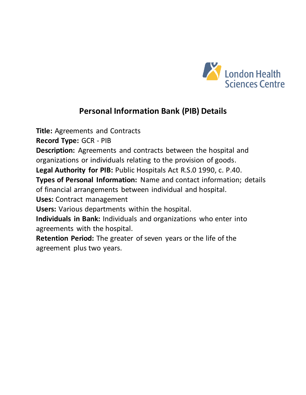

**Title:** Agreements and Contracts

**Record Type:** GCR - PIB

**Description:** Agreements and contracts between the hospital and organizations or individuals relating to the provision of goods.

**Legal Authority for PIB:** Public Hospitals Act R.S.0 1990, c. P.40.

**Types of Personal Information:** Name and contact information; details of financial arrangements between individual and hospital.

**Uses:** Contract management

**Users:** Various departments within the hospital.

**Individuals in Bank:** Individuals and organizations who enter into agreements with the hospital.

**Retention Period:** The greater of seven years or the life of the agreement plus two years.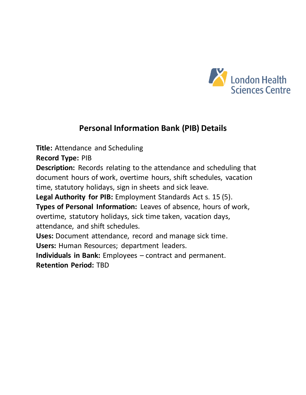

**Title:** Attendance and Scheduling

**Record Type:** PIB

**Description:** Records relating to the attendance and scheduling that document hours of work, overtime hours, shift schedules, vacation time, statutory holidays, sign in sheets and sick leave.

**Legal Authority for PIB:** Employment Standards Act s. 15 (5).

**Types of Personal Information:** Leaves of absence, hours of work, overtime, statutory holidays, sick time taken, vacation days, attendance, and shift schedules.

**Uses:** Document attendance, record and manage sick time.

**Users:** Human Resources; department leaders.

**Individuals in Bank:** Employees – contract and permanent. **Retention Period:** TBD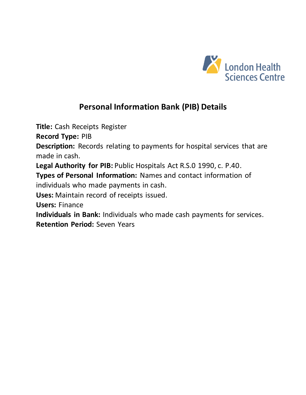

**Title:** Cash Receipts Register

**Record Type:** PIB

**Description:** Records relating to payments for hospital services that are made in cash.

**Legal Authority for PIB:** Public Hospitals Act R.S.0 1990, c. P.40.

**Types of Personal Information:** Names and contact information of individuals who made payments in cash.

**Uses:** Maintain record of receipts issued.

**Users:** Finance

**Individuals in Bank:** Individuals who made cash payments for services. **Retention Period:** Seven Years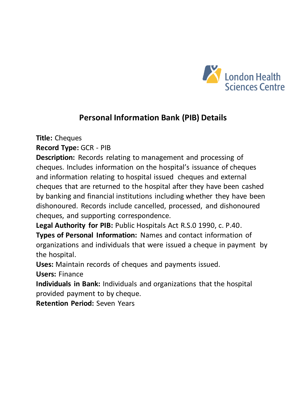

**Title:** Cheques

**Record Type:** GCR - PIB

**Description:** Records relating to management and processing of cheques. Includes information on the hospital's issuance of cheques and information relating to hospital issued cheques and external cheques that are returned to the hospital after they have been cashed by banking and financial institutions including whether they have been dishonoured. Records include cancelled, processed, and dishonoured cheques, and supporting correspondence.

Legal Authority for PIB: Public Hospitals Act R.S.0 1990, c. P.40.

**Types of Personal Information:** Names and contact information of organizations and individuals that were issued a cheque in payment by the hospital.

**Uses:** Maintain records of cheques and payments issued.

**Users:** Finance

**Individuals in Bank:** Individuals and organizations that the hospital provided payment to by cheque.

**Retention Period:** Seven Years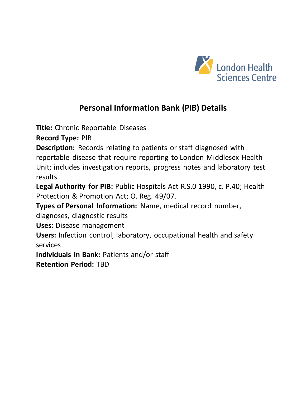

**Title:** Chronic Reportable Diseases

**Record Type:** PIB

**Description:** Records relating to patients or staff diagnosed with reportable disease that require reporting to London Middlesex Health Unit; includes investigation reports, progress notes and laboratory test results.

**Legal Authority for PIB:** Public Hospitals Act R.S.0 1990, c. P.40; Health Protection & Promotion Act; O. Reg. 49/07.

**Types of Personal Information:** Name, medical record number,

diagnoses, diagnostic results

**Uses:** Disease management

**Users:** Infection control, laboratory, occupational health and safety services

**Individuals in Bank:** Patients and/or staff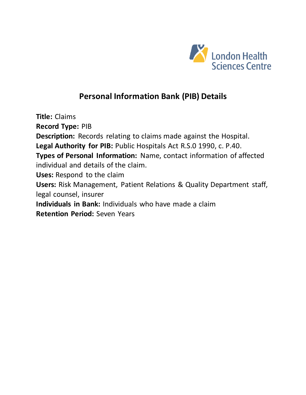

**Title:** Claims **Record Type:** PIB **Description:** Records relating to claims made against the Hospital. **Legal Authority for PIB:** Public Hospitals Act R.S.0 1990, c. P.40. **Types of Personal Information:** Name, contact information of affected individual and details of the claim. **Uses:** Respond to the claim **Users:** Risk Management, Patient Relations & Quality Department staff, legal counsel, insurer **Individuals in Bank:** Individuals who have made a claim **Retention Period:** Seven Years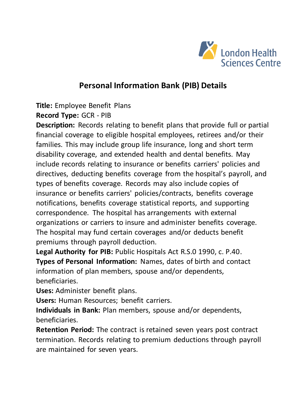

**Title:** Employee Benefit Plans

#### **Record Type:** GCR - PIB

**Description:** Records relating to benefit plans that provide full or partial financial coverage to eligible hospital employees, retirees and/or their families. This may include group life insurance, long and short term disability coverage, and extended health and dental benefits. May include records relating to insurance or benefits carriers' policies and directives, deducting benefits coverage from the hospital's payroll, and types of benefits coverage. Records may also include copies of insurance or benefits carriers' policies/contracts, benefits coverage notifications, benefits coverage statistical reports, and supporting correspondence. The hospital has arrangements with external organizations or carriers to insure and administer benefits coverage. The hospital may fund certain coverages and/or deducts benefit premiums through payroll deduction.

**Legal Authority for PIB:** Public Hospitals Act R.S.0 1990, c. P.40. **Types of Personal Information:** Names, dates of birth and contact information of plan members, spouse and/or dependents, beneficiaries.

**Uses:** Administer benefit plans.

**Users:** Human Resources; benefit carriers.

**Individuals in Bank:** Plan members, spouse and/or dependents, beneficiaries.

**Retention Period:** The contract is retained seven years post contract termination. Records relating to premium deductions through payroll are maintained for seven years.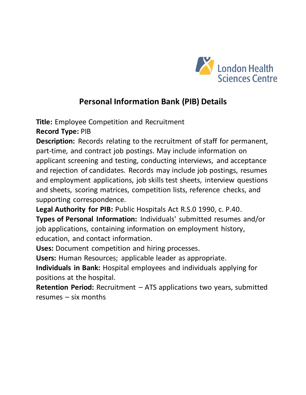

**Title:** Employee Competition and Recruitment

**Record Type:** PIB

**Description:** Records relating to the recruitment of staff for permanent, part-time, and contract job postings. May include information on applicant screening and testing, conducting interviews, and acceptance and rejection of candidates. Records may include job postings, resumes and employment applications, job skills test sheets, interview questions and sheets, scoring matrices, competition lists, reference checks, and supporting correspondence.

**Legal Authority for PIB:** Public Hospitals Act R.S.0 1990, c. P.40.

**Types of Personal Information:** Individuals' submitted resumes and/or job applications, containing information on employment history, education, and contact information.

**Uses:** Document competition and hiring processes.

**Users:** Human Resources; applicable leader as appropriate.

**Individuals in Bank:** Hospital employees and individuals applying for positions at the hospital.

**Retention Period:** Recruitment – ATS applications two years, submitted resumes – six months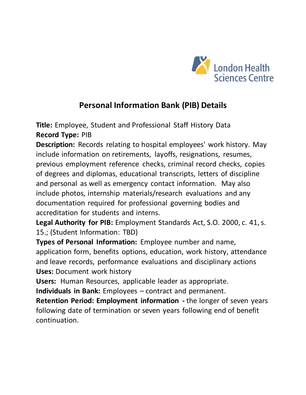

**Title:** Employee, Student and Professional Staff History Data **Record Type:** PIB

**Description:** Records relating to hospital employees' work history. May include information on retirements, layoffs, resignations, resumes, previous employment reference checks, criminal record checks, copies of degrees and diplomas, educational transcripts, letters of discipline and personal as well as emergency contact information. May also include photos, internship materials/research evaluations and any documentation required for professional governing bodies and accreditation for students and interns.

**Legal Authority for PIB:** Employment Standards Act, S.O. 2000, c. 41, s. 15.; (Student Information: TBD)

**Types of Personal Information:** Employee number and name, application form, benefits options, education, work history, attendance and leave records, performance evaluations and disciplinary actions **Uses:** Document work history

**Users:** Human Resources, applicable leader as appropriate.

**Individuals in Bank:** Employees – contract and permanent.

**Retention Period: Employment information -** the longer of seven years following date of termination or seven years following end of benefit continuation.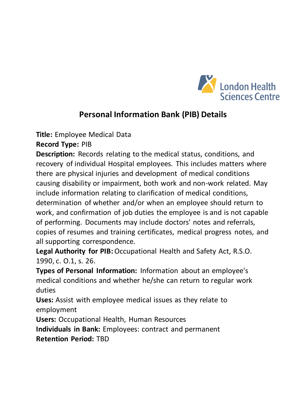

**Title:** Employee Medical Data

**Record Type:** PIB

**Description:** Records relating to the medical status, conditions, and recovery of individual Hospital employees. This includes matters where there are physical injuries and development of medical conditions causing disability or impairment, both work and non-work related. May include information relating to clarification of medical conditions, determination of whether and/or when an employee should return to work, and confirmation of job duties the employee is and is not capable of performing. Documents may include doctors' notes and referrals, copies of resumes and training certificates, medical progress notes, and all supporting correspondence.

**Legal Authority for PIB:**Occupational Health and Safety Act, R.S.O. 1990, c. O.1, s. 26.

**Types of Personal Information:** Information about an employee's medical conditions and whether he/she can return to regular work duties

**Uses:** Assist with employee medical issues as they relate to employment

**Users:** Occupational Health, Human Resources

**Individuals in Bank:** Employees: contract and permanent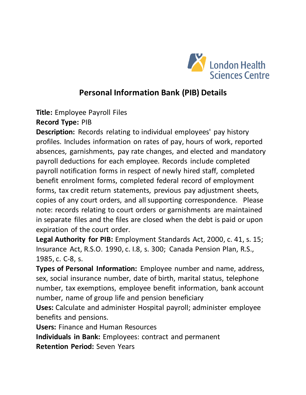

**Title:** Employee Payroll Files

**Record Type:** PIB

**Description:** Records relating to individual employees' pay history profiles. Includes information on rates of pay, hours of work, reported absences, garnishments, pay rate changes, and elected and mandatory payroll deductions for each employee. Records include completed payroll notification forms in respect of newly hired staff, completed benefit enrolment forms, completed federal record of employment forms, tax credit return statements, previous pay adjustment sheets, copies of any court orders, and all supporting correspondence. Please note: records relating to court orders or garnishments are maintained in separate files and the files are closed when the debt is paid or upon expiration of the court order.

**Legal Authority for PIB:** Employment Standards Act, 2000, c. 41, s. 15; Insurance Act, R.S.O. 1990, c. I.8, s. 300; Canada Pension Plan, R.S., 1985, c. C-8, s.

**Types of Personal Information:** Employee number and name, address, sex, social insurance number, date of birth, marital status, telephone number, tax exemptions, employee benefit information, bank account number, name of group life and pension beneficiary

**Uses:** Calculate and administer Hospital payroll; administer employee benefits and pensions.

**Users:** Finance and Human Resources

**Individuals in Bank:** Employees: contract and permanent

**Retention Period:** Seven Years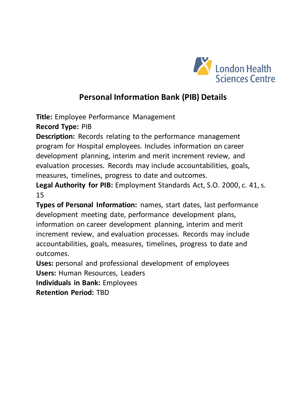

**Title:** Employee Performance Management

**Record Type:** PIB

**Description:** Records relating to the performance management program for Hospital employees. Includes information on career development planning, interim and merit increment review, and evaluation processes. Records may include accountabilities, goals, measures, timelines, progress to date and outcomes.

**Legal Authority for PIB:** Employment Standards Act, S.O. 2000, c. 41, s. 15

**Types of Personal Information:** names, start dates, last performance development meeting date, performance development plans, information on career development planning, interim and merit increment review, and evaluation processes. Records may include accountabilities, goals, measures, timelines, progress to date and outcomes.

**Uses:** personal and professional development of employees **Users:** Human Resources, Leaders

**Individuals in Bank:** Employees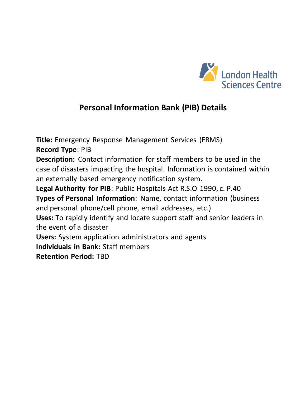

**Title:** Emergency Response Management Services (ERMS) **Record Type**: PIB **Description:** Contact information for staff members to be used in the case of disasters impacting the hospital. Information is contained within an externally based emergency notification system. **Legal Authority for PIB**: Public Hospitals Act R.S.O 1990, c. P.40 **Types of Personal Information**: Name, contact information (business and personal phone/cell phone, email addresses, etc.) **Uses:** To rapidly identify and locate support staff and senior leaders in the event of a disaster **Users:** System application administrators and agents **Individuals in Bank:** Staff members **Retention Period:** TBD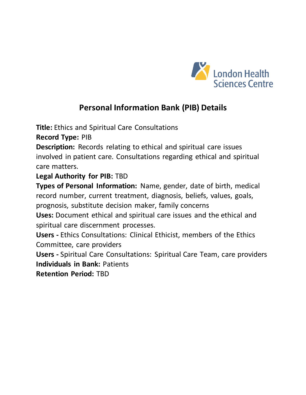

**Title:** Ethics and Spiritual Care Consultations

**Record Type:** PIB

**Description:** Records relating to ethical and spiritual care issues involved in patient care. Consultations regarding ethical and spiritual care matters.

#### **Legal Authority for PIB:** TBD

**Types of Personal Information:** Name, gender, date of birth, medical record number, current treatment, diagnosis, beliefs, values, goals, prognosis, substitute decision maker, family concerns

**Uses:** Document ethical and spiritual care issues and the ethical and spiritual care discernment processes.

**Users -** Ethics Consultations: Clinical Ethicist, members of the Ethics Committee, care providers

**Users -** Spiritual Care Consultations: Spiritual Care Team, care providers **Individuals in Bank:** Patients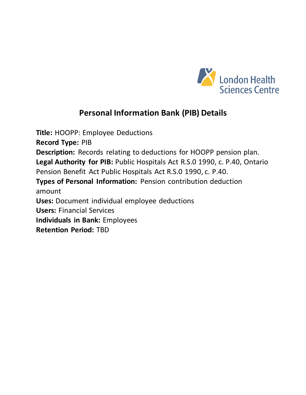

**Title:** HOOPP: Employee Deductions **Record Type:** PIB **Description:** Records relating to deductions for HOOPP pension plan. **Legal Authority for PIB:** Public Hospitals Act R.S.0 1990, c. P.40, Ontario Pension Benefit Act Public Hospitals Act R.S.0 1990, c. P.40. **Types of Personal Information:** Pension contribution deduction amount **Uses:** Document individual employee deductions **Users:** Financial Services **Individuals in Bank:** Employees **Retention Period:** TBD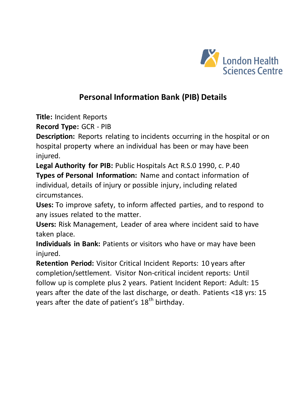

**Title:** Incident Reports

**Record Type:** GCR - PIB

**Description:** Reports relating to incidents occurring in the hospital or on hospital property where an individual has been or may have been injured.

**Legal Authority for PIB:** Public Hospitals Act R.S.0 1990, c. P.40 **Types of Personal Information:** Name and contact information of individual, details of injury or possible injury, including related circumstances.

**Uses:** To improve safety, to inform affected parties, and to respond to any issues related to the matter.

**Users:** Risk Management, Leader of area where incident said to have taken place.

**Individuals in Bank:** Patients or visitors who have or may have been injured.

**Retention Period:** Visitor Critical Incident Reports: 10 years after completion/settlement. Visitor Non-critical incident reports: Until follow up is complete plus 2 years. Patient Incident Report: Adult: 15 years after the date of the last discharge, or death. Patients <18 yrs: 15 years after the date of patient's  $18<sup>th</sup>$  birthday.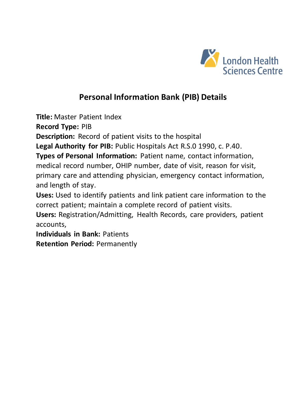

**Title:** Master Patient Index

**Record Type:** PIB

**Description:** Record of patient visits to the hospital

**Legal Authority for PIB:** Public Hospitals Act R.S.0 1990, c. P.40.

**Types of Personal Information:** Patient name, contact information, medical record number, OHIP number, date of visit, reason for visit, primary care and attending physician, emergency contact information, and length of stay.

**Uses:** Used to identify patients and link patient care information to the correct patient; maintain a complete record of patient visits.

**Users:** Registration/Admitting, Health Records, care providers, patient accounts,

**Individuals in Bank:** Patients

**Retention Period:** Permanently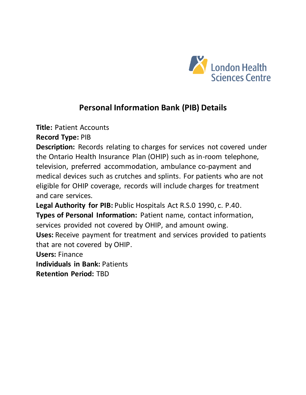

**Title:** Patient Accounts

**Record Type:** PIB

**Description:** Records relating to charges for services not covered under the Ontario Health Insurance Plan (OHIP) such as in-room telephone, television, preferred accommodation, ambulance co-payment and medical devices such as crutches and splints. For patients who are not eligible for OHIP coverage, records will include charges for treatment and care services.

**Legal Authority for PIB:** Public Hospitals Act R.S.0 1990, c. P.40. **Types of Personal Information:** Patient name, contact information, services provided not covered by OHIP, and amount owing. **Uses:** Receive payment for treatment and services provided to patients

that are not covered by OHIP.

**Users:** Finance

**Individuals in Bank:** Patients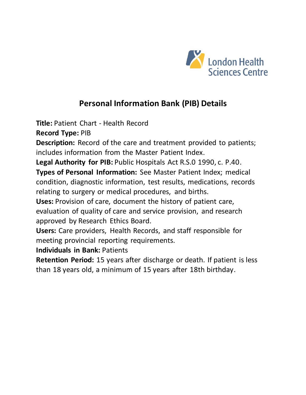

**Title:** Patient Chart - Health Record

**Record Type:** PIB

**Description:** Record of the care and treatment provided to patients; includes information from the Master Patient Index.

**Legal Authority for PIB:** Public Hospitals Act R.S.0 1990, c. P.40.

**Types of Personal Information:** See Master Patient Index; medical condition, diagnostic information, test results, medications, records relating to surgery or medical procedures, and births.

**Uses:** Provision of care, document the history of patient care, evaluation of quality of care and service provision, and research approved by Research Ethics Board.

**Users:** Care providers, Health Records, and staff responsible for meeting provincial reporting requirements.

**Individuals in Bank:** Patients

**Retention Period:** 15 years after discharge or death. If patient is less than 18 years old, a minimum of 15 years after 18th birthday.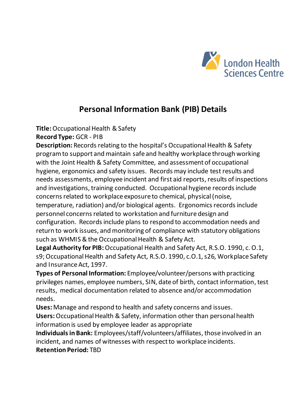

**Title:**Occupational Health & Safety

**Record Type:** GCR - PIB

**Description:** Records relating to the hospital's Occupational Health & Safety program to support and maintain safe and healthy workplace through working with the Joint Health & Safety Committee, and assessment of occupational hygiene, ergonomics and safety issues. Records may include test results and needs assessments, employee incident and first aid reports, results of inspections and investigations, training conducted. Occupational hygiene records include concerns related to workplace exposure to chemical, physical (noise, temperature, radiation) and/or biological agents. Ergonomics records include personnel concerns related to workstation and furniture design and configuration. Records include plans to respond to accommodation needs and return to work issues, and monitoring of compliance with statutory obligations such as WHMIS & the Occupational Health & Safety Act.

**Legal Authority for PIB:** Occupational Health and Safety Act, R.S.O. 1990, c. O.1, s9; Occupational Health and Safety Act, R.S.O. 1990, c.O.1, s26, Workplace Safety and Insurance Act, 1997.

**Types of Personal Information:** Employee/volunteer/persons with practicing privileges names, employee numbers, SIN, date of birth, contact information, test results, medical documentation related to absence and/or accommodation needs.

**Uses:** Manage and respond to health and safety concerns and issues.

**Users:** Occupational Health & Safety, information other than personal health information is used by employee leader as appropriate

**Individuals in Bank:** Employees/staff/volunteers/affiliates, those involved in an incident, and names of witnesses with respect to workplace incidents. **Retention Period:** TBD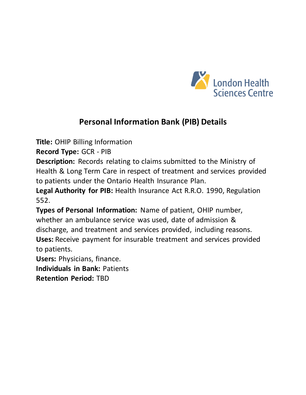

**Title:** OHIP Billing Information

**Record Type:** GCR - PIB

**Description:** Records relating to claims submitted to the Ministry of Health & Long Term Care in respect of treatment and services provided to patients under the Ontario Health Insurance Plan.

**Legal Authority for PIB:** Health Insurance Act R.R.O. 1990, Regulation 552.

**Types of Personal Information:** Name of patient, OHIP number, whether an ambulance service was used, date of admission & discharge, and treatment and services provided, including reasons. **Uses:** Receive payment for insurable treatment and services provided to patients.

**Users:** Physicians, finance. **Individuals in Bank:** Patients **Retention Period:** TBD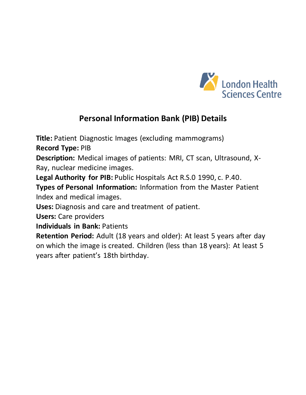

**Title:** Patient Diagnostic Images (excluding mammograms)

**Record Type:** PIB

**Description:** Medical images of patients: MRI, CT scan, Ultrasound, X-Ray, nuclear medicine images.

**Legal Authority for PIB:** Public Hospitals Act R.S.0 1990, c. P.40.

**Types of Personal Information:** Information from the Master Patient Index and medical images.

**Uses:** Diagnosis and care and treatment of patient.

**Users:** Care providers

**Individuals in Bank:** Patients

**Retention Period:** Adult (18 years and older): At least 5 years after day on which the image is created. Children (less than 18 years): At least 5 years after patient's 18th birthday.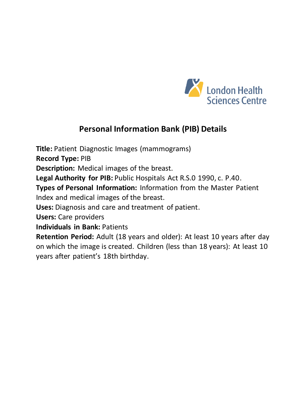

**Title:** Patient Diagnostic Images (mammograms)

**Record Type:** PIB

**Description:** Medical images of the breast.

**Legal Authority for PIB:** Public Hospitals Act R.S.0 1990, c. P.40.

**Types of Personal Information:** Information from the Master Patient Index and medical images of the breast.

**Uses:** Diagnosis and care and treatment of patient.

**Users:** Care providers

**Individuals in Bank:** Patients

**Retention Period:** Adult (18 years and older): At least 10 years after day on which the image is created. Children (less than 18 years): At least 10 years after patient's 18th birthday.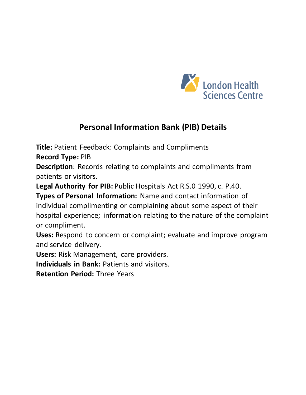

**Title:** Patient Feedback: Complaints and Compliments

**Record Type:** PIB

**Description**: Records relating to complaints and compliments from patients or visitors.

**Legal Authority for PIB:** Public Hospitals Act R.S.0 1990, c. P.40.

**Types of Personal Information:** Name and contact information of individual complimenting or complaining about some aspect of their hospital experience; information relating to the nature of the complaint or compliment.

**Uses:** Respond to concern or complaint; evaluate and improve program and service delivery.

**Users:** Risk Management, care providers.

**Individuals in Bank:** Patients and visitors.

**Retention Period:** Three Years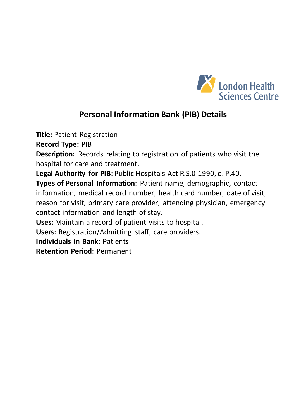

**Title:** Patient Registration

**Record Type:** PIB

**Description:** Records relating to registration of patients who visit the hospital for care and treatment.

**Legal Authority for PIB:** Public Hospitals Act R.S.0 1990, c. P.40.

**Types of Personal Information:** Patient name, demographic, contact information, medical record number, health card number, date of visit, reason for visit, primary care provider, attending physician, emergency contact information and length of stay.

**Uses:** Maintain a record of patient visits to hospital.

**Users:** Registration/Admitting staff; care providers.

**Individuals in Bank:** Patients

**Retention Period:** Permanent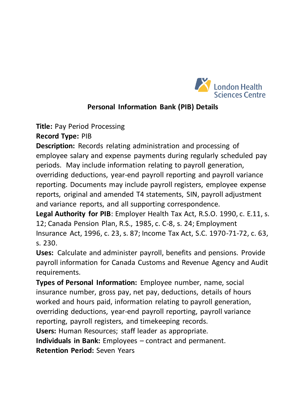

**Title:** Pay Period Processing

**Record Type:** PIB

**Description:** Records relating administration and processing of employee salary and expense payments during regularly scheduled pay periods. May include information relating to payroll generation, overriding deductions, year-end payroll reporting and payroll variance reporting. Documents may include payroll registers, employee expense reports, original and amended T4 statements, SIN, payroll adjustment and variance reports, and all supporting correspondence.

**Legal Authority for PIB**: Employer Health Tax Act, R.S.O. 1990, c. E.11, s. 12; Canada Pension Plan, R.S., 1985, c. C-8, s. 24; Employment Insurance Act, 1996, c. 23, s. 87; Income Tax Act, S.C. 1970-71-72, c. 63, s. 230.

**Uses:** Calculate and administer payroll, benefits and pensions. Provide payroll information for Canada Customs and Revenue Agency and Audit requirements.

**Types of Personal Information:** Employee number, name, social insurance number, gross pay, net pay, deductions, details of hours worked and hours paid, information relating to payroll generation, overriding deductions, year-end payroll reporting, payroll variance reporting, payroll registers, and timekeeping records. **Users:** Human Resources; staff leader as appropriate. **Individuals in Bank:** Employees – contract and permanent.

**Retention Period:** Seven Years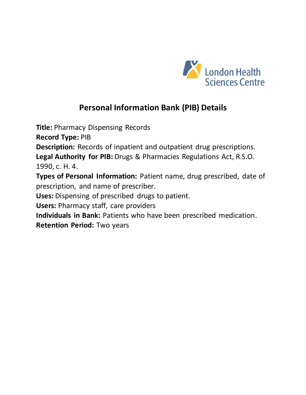

**Title:** Pharmacy Dispensing Records

**Record Type:** PIB

**Description:** Records of inpatient and outpatient drug prescriptions.

**Legal Authority for PIB:** Drugs & Pharmacies Regulations Act, R.S.O. 1990, c. H. 4.

**Types of Personal Information:** Patient name, drug prescribed, date of prescription, and name of prescriber.

**Uses:** Dispensing of prescribed drugs to patient.

**Users:** Pharmacy staff, care providers

**Individuals in Bank:** Patients who have been prescribed medication.

**Retention Period:** Two years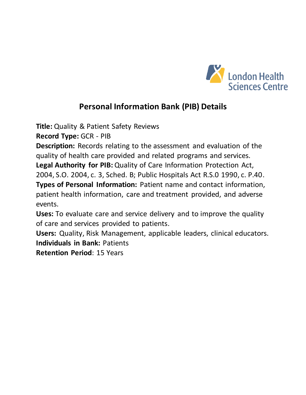

**Title:** Quality & Patient Safety Reviews

**Record Type:** GCR - PIB

**Description:** Records relating to the assessment and evaluation of the quality of health care provided and related programs and services. **Legal Authority for PIB:** Quality of Care Information Protection Act, 2004, S.O. 2004, c. 3, Sched. B; Public Hospitals Act R.S.0 1990, c. P.40.

**Types of Personal Information:** Patient name and contact information, patient health information, care and treatment provided, and adverse events.

**Uses:** To evaluate care and service delivery and to improve the quality of care and services provided to patients.

**Users:** Quality, Risk Management, applicable leaders, clinical educators. **Individuals in Bank:** Patients

**Retention Period**: 15 Years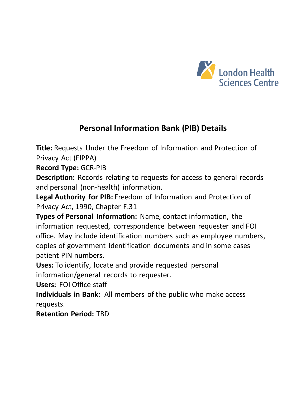

**Title:** Requests Under the Freedom of Information and Protection of Privacy Act (FIPPA)

**Record Type:** GCR-PIB

**Description:** Records relating to requests for access to general records and personal (non-health) information.

**Legal Authority for PIB:** Freedom of Information and Protection of Privacy Act, 1990, Chapter F.31

**Types of Personal Information:** Name, contact information, the information requested, correspondence between requester and FOI office. May include identification numbers such as employee numbers, copies of government identification documents and in some cases patient PIN numbers.

**Uses:** To identify, locate and provide requested personal information/general records to requester.

**Users:** FOI Office staff

**Individuals in Bank:** All members of the public who make access requests.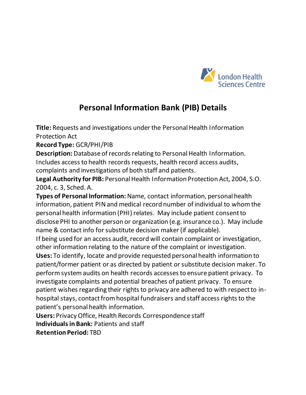

**Title:** Requests and investigations under the Personal Health Information Protection Act

**Record Type:** GCR/PHI/PIB

**Description:** Database of records relating to Personal Health Information. Includes access to health records requests, health record access audits, complaints and investigations of both staff and patients.

**Legal Authority for PIB:** Personal Health Information Protection Act, 2004, S.O. 2004, c. 3, Sched. A.

**Types of Personal Information:** Name, contact information, personal health information, patient PIN and medical record number of individual to whom the personal health information (PHI) relates. May include patient consent to disclose PHI to another person or organization (e.g. insurance co.). May include name & contact info for substitute decision maker (if applicable).

If being used for an access audit, record will contain complaint or investigation, other information relating to the nature of the complaint or investigation.

**Uses:** To identify, locate and provide requested personal health information to patient/former patient or as directed by patient or substitute decision maker. To perform system audits on health records accesses to ensure patient privacy. To investigate complaints and potential breaches of patient privacy. To ensure patient wishes regarding their rights to privacy are adhered to with respect to inhospital stays, contact from hospital fundraisers and staff access rights to the patient's personal health information.

**Users:** Privacy Office, Health Records Correspondence staff

**Individuals in Bank:** Patients and staff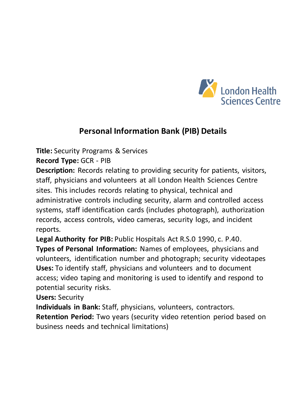

**Title:** Security Programs & Services

**Record Type:** GCR - PIB

**Description:** Records relating to providing security for patients, visitors, staff, physicians and volunteers at all London Health Sciences Centre sites. This includes records relating to physical, technical and administrative controls including security, alarm and controlled access systems, staff identification cards (includes photograph), authorization records, access controls, video cameras, security logs, and incident reports.

**Legal Authority for PIB:** Public Hospitals Act R.S.0 1990, c. P.40. **Types of Personal Information:** Names of employees, physicians and volunteers, identification number and photograph; security videotapes **Uses:** To identify staff, physicians and volunteers and to document access; video taping and monitoring is used to identify and respond to potential security risks.

**Users:** Security

**Individuals in Bank:** Staff, physicians, volunteers, contractors.

**Retention Period:** Two years (security video retention period based on business needs and technical limitations)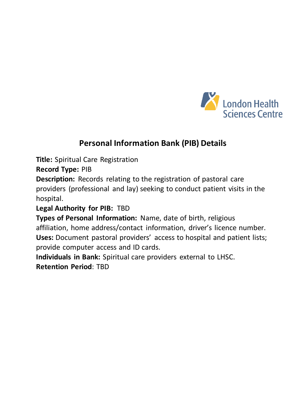

**Title:** Spiritual Care Registration

**Record Type:** PIB

**Description:** Records relating to the registration of pastoral care providers (professional and lay) seeking to conduct patient visits in the hospital.

#### **Legal Authority for PIB:** TBD

**Types of Personal Information:** Name, date of birth, religious affiliation, home address/contact information, driver's licence number. **Uses:** Document pastoral providers' access to hospital and patient lists; provide computer access and ID cards.

**Individuals in Bank:** Spiritual care providers external to LHSC. **Retention Period**: TBD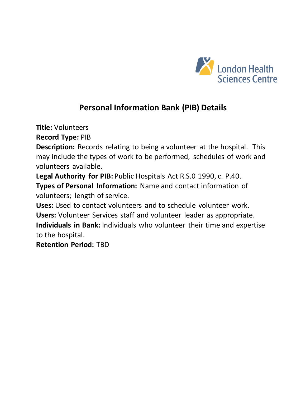

**Title:** Volunteers

**Record Type:** PIB

**Description:** Records relating to being a volunteer at the hospital. This may include the types of work to be performed, schedules of work and volunteers available.

**Legal Authority for PIB:** Public Hospitals Act R.S.0 1990, c. P.40.

**Types of Personal Information:** Name and contact information of volunteers; length of service.

**Uses:** Used to contact volunteers and to schedule volunteer work. **Users:** Volunteer Services staff and volunteer leader as appropriate. **Individuals in Bank:** Individuals who volunteer their time and expertise to the hospital.